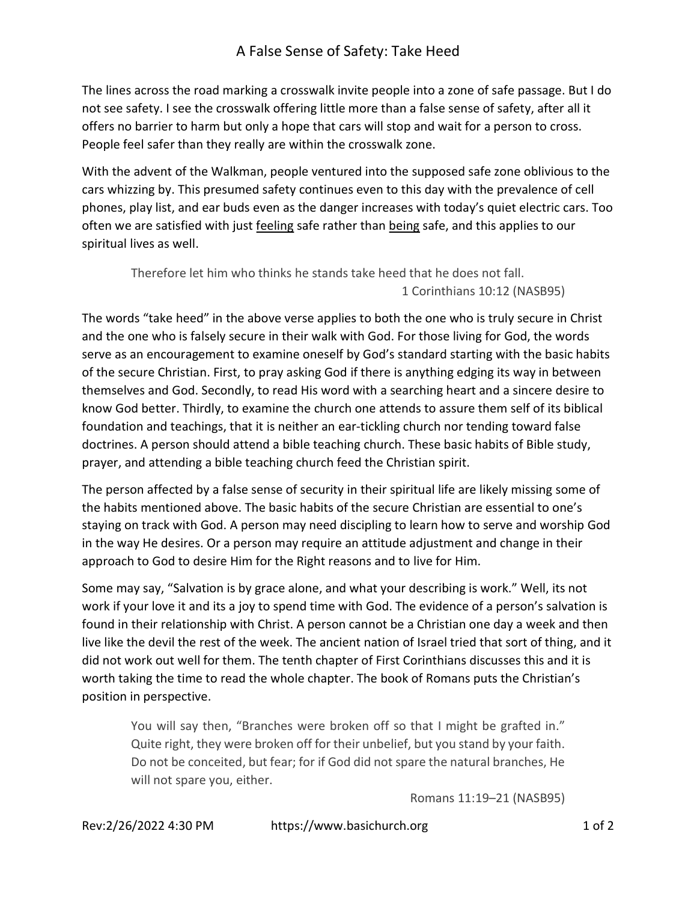## A False Sense of Safety: Take Heed

The lines across the road marking a crosswalk invite people into a zone of safe passage. But I do not see safety. I see the crosswalk offering little more than a false sense of safety, after all it offers no barrier to harm but only a hope that cars will stop and wait for a person to cross. People feel safer than they really are within the crosswalk zone.

With the advent of the Walkman, people ventured into the supposed safe zone oblivious to the cars whizzing by. This presumed safety continues even to this day with the prevalence of cell phones, play list, and ear buds even as the danger increases with today's quiet electric cars. Too often we are satisfied with just feeling safe rather than being safe, and this applies to our spiritual lives as well.

Therefore let him who thinks he stands take heed that he does not fall. 1 Corinthians 10:12 (NASB95)

The words "take heed" in the above verse applies to both the one who is truly secure in Christ and the one who is falsely secure in their walk with God. For those living for God, the words serve as an encouragement to examine oneself by God's standard starting with the basic habits of the secure Christian. First, to pray asking God if there is anything edging its way in between themselves and God. Secondly, to read His word with a searching heart and a sincere desire to know God better. Thirdly, to examine the church one attends to assure them self of its biblical foundation and teachings, that it is neither an ear-tickling church nor tending toward false doctrines. A person should attend a bible teaching church. These basic habits of Bible study, prayer, and attending a bible teaching church feed the Christian spirit.

The person affected by a false sense of security in their spiritual life are likely missing some of the habits mentioned above. The basic habits of the secure Christian are essential to one's staying on track with God. A person may need discipling to learn how to serve and worship God in the way He desires. Or a person may require an attitude adjustment and change in their approach to God to desire Him for the Right reasons and to live for Him.

Some may say, "Salvation is by grace alone, and what your describing is work." Well, its not work if your love it and its a joy to spend time with God. The evidence of a person's salvation is found in their relationship with Christ. A person cannot be a Christian one day a week and then live like the devil the rest of the week. The ancient nation of Israel tried that sort of thing, and it did not work out well for them. The tenth chapter of First Corinthians discusses this and it is worth taking the time to read the whole chapter. The book of Romans puts the Christian's position in perspective.

You will say then, "Branches were broken off so that I might be grafted in." Quite right, they were broken off for their unbelief, but you stand by your faith. Do not be conceited, but fear; for if God did not spare the natural branches, He will not spare you, either.

Romans 11:19–21 (NASB95)

Rev:2/26/2022 4:30 PM https://www.basichurch.org 1 of 2